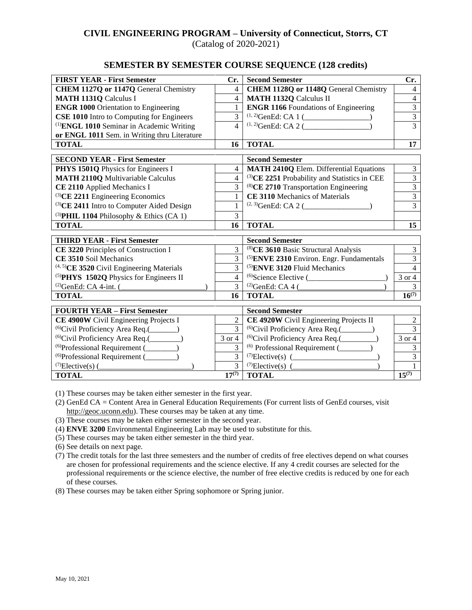### **CIVIL ENGINEERING PROGRAM – University of Connecticut, Storrs, CT** (Catalog of 2020-2021)

**SEMESTER BY SEMESTER COURSE SEQUENCE (128 credits)**

|                                                                                | Cr.                              |                                                          |                  |
|--------------------------------------------------------------------------------|----------------------------------|----------------------------------------------------------|------------------|
| <b>FIRST YEAR - First Semester</b>                                             |                                  | <b>Second Semester</b>                                   | Cr.              |
| CHEM 1127Q or 1147Q General Chemistry                                          | $\overline{4}$                   | CHEM 1128Q or 1148Q General Chemistry                    | $\overline{4}$   |
| <b>MATH 1131Q Calculus I</b>                                                   | $\overline{4}$                   | <b>MATH 1132Q Calculus II</b>                            | $\overline{4}$   |
| <b>ENGR 1000 Orientation to Engineering</b>                                    | $\mathbf{1}$                     | <b>ENGR 1166</b> Foundations of Engineering              | $\overline{3}$   |
| <b>CSE 1010</b> Intro to Computing for Engineers                               |                                  |                                                          | $\overline{3}$   |
| <sup>(1)</sup> ENGL 1010 Seminar in Academic Writing                           |                                  |                                                          | $\overline{3}$   |
| or ENGL 1011 Sem. in Writing thru Literature                                   |                                  |                                                          |                  |
| <b>TOTAL</b>                                                                   | 16                               | <b>TOTAL</b>                                             | 17               |
|                                                                                |                                  | <b>Second Semester</b>                                   |                  |
| <b>SECOND YEAR - First Semester</b>                                            |                                  | <b>MATH 2410Q Elem. Differential Equations</b>           | $\overline{3}$   |
| PHYS 1501Q Physics for Engineers I<br><b>MATH 2110Q Multivariable Calculus</b> | $\overline{4}$<br>$\overline{4}$ | <sup>(3)</sup> CE 2251 Probability and Statistics in CEE | $\overline{3}$   |
|                                                                                |                                  | $^{(8)}$ CE 2710 Transportation Engineering              | $\overline{3}$   |
| CE 2110 Applied Mechanics I                                                    |                                  | CE 3110 Mechanics of Materials                           | $\overline{3}$   |
| (3) CE 2211 Engineering Economics                                              |                                  | $(2, 3)$ GenEd: CA 2 (                                   | $\overline{3}$   |
| <sup>(3)</sup> CE 2411 Intro to Computer Aided Design                          |                                  |                                                          |                  |
| (3) PHIL 1104 Philosophy & Ethics (CA 1)                                       | $\overline{3}$                   |                                                          |                  |
| <b>TOTAL</b>                                                                   | 16                               | <b>TOTAL</b>                                             | 15               |
| <b>THIRD YEAR - First Semester</b>                                             |                                  | <b>Second Semester</b>                                   |                  |
| CE 3220 Principles of Construction I                                           | 3                                | <sup>(8)</sup> CE 3610 Basic Structural Analysis         | $\overline{3}$   |
| CE 3510 Soil Mechanics                                                         |                                  | <sup>(5)</sup> ENVE 2310 Environ. Engr. Fundamentals     | $\overline{3}$   |
| <sup>(4, 5)</sup> CE 3520 Civil Engineering Materials                          |                                  | <sup>(5)</sup> ENVE 3120 Fluid Mechanics                 | $\overline{4}$   |
| <sup>(5)</sup> PHYS 1502Q Physics for Engineers II                             | $\overline{4}$                   | $^{(6)}$ Science Elective (                              | 3 or 4           |
| $^{(2)}$ GenEd: CA 4-int. (                                                    | 3                                | $^{(2)}$ GenEd: CA 4 (                                   | 3                |
| <b>TOTAL</b>                                                                   | 16                               | <b>TOTAL</b>                                             | $16^{(7)}$       |
|                                                                                |                                  |                                                          |                  |
| <b>FOURTH YEAR - First Semester</b>                                            |                                  | <b>Second Semester</b>                                   |                  |
| CE 4900W Civil Engineering Projects I                                          | $\overline{2}$                   | CE 4920W Civil Engineering Projects II                   | $\boldsymbol{2}$ |
| <sup>(6)</sup> Civil Proficiency Area Req.(______)                             | $\overline{3}$                   | <sup>(6)</sup> Civil Proficiency Area Req.(________)     | 3                |
| <sup>(6)</sup> Civil Proficiency Area Req.(_______)                            | 3 or 4<br>3                      | <sup>(6)</sup> Civil Proficiency Area Req.(_________)    | 3 or 4           |
| $^{(6)}$ Professional Requirement ( $\qquad$                                   |                                  | <sup>(6)</sup> Professional Requirement (________)       | 3                |
| $^{(6)}$ Professional Requirement ( $\qquad$                                   | 3                                |                                                          | $\overline{3}$   |
| $^{(7)}$ Elective(s) (                                                         | $\overline{3}$                   | <sup>(7)</sup> Elective(s) $($                           |                  |
| <b>TOTAL</b>                                                                   | $17^{(7)}$                       | <b>TOTAL</b>                                             | $15^{(7)}$       |

(1) These courses may be taken either semester in the first year.

(2) GenEd CA = Content Area in General Education Requirements (For current lists of GenEd courses, visit [http://geoc.uconn.edu\)](http://geoc.uconn.edu/). These courses may be taken at any time.

(3) These courses may be taken either semester in the second year.

- (4) **ENVE 3200** Environmental Engineering Lab may be used to substitute for this.
- (5) These courses may be taken either semester in the third year.

(6) See details on next page.

(7) The credit totals for the last three semesters and the number of credits of free electives depend on what courses are chosen for professional requirements and the science elective. If any 4 credit courses are selected for the professional requirements or the science elective, the number of free elective credits is reduced by one for each of these courses.

(8) These courses may be taken either Spring sophomore or Spring junior.